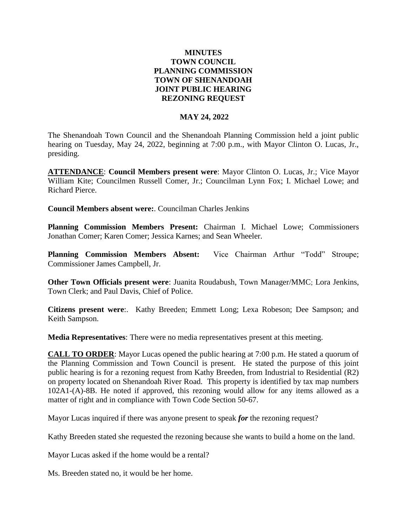## **MINUTES TOWN COUNCIL PLANNING COMMISSION TOWN OF SHENANDOAH JOINT PUBLIC HEARING REZONING REQUEST**

## **MAY 24, 2022**

The Shenandoah Town Council and the Shenandoah Planning Commission held a joint public hearing on Tuesday, May 24, 2022, beginning at 7:00 p.m., with Mayor Clinton O. Lucas, Jr., presiding.

**ATTENDANCE**: **Council Members present were**: Mayor Clinton O. Lucas, Jr.; Vice Mayor William Kite; Councilmen Russell Comer, Jr.; Councilman Lynn Fox; I. Michael Lowe; and Richard Pierce.

**Council Members absent were:**. Councilman Charles Jenkins

**Planning Commission Members Present:** Chairman I. Michael Lowe; Commissioners Jonathan Comer; Karen Comer; Jessica Karnes; and Sean Wheeler.

**Planning Commission Members Absent:** Vice Chairman Arthur "Todd" Stroupe; Commissioner James Campbell, Jr.

**Other Town Officials present were**: Juanita Roudabush, Town Manager/MMC; Lora Jenkins, Town Clerk; and Paul Davis, Chief of Police.

**Citizens present were**:. Kathy Breeden; Emmett Long; Lexa Robeson; Dee Sampson; and Keith Sampson.

**Media Representatives**: There were no media representatives present at this meeting.

**CALL TO ORDER**: Mayor Lucas opened the public hearing at 7:00 p.m. He stated a quorum of the Planning Commission and Town Council is present. He stated the purpose of this joint public hearing is for a rezoning request from Kathy Breeden, from Industrial to Residential (R2) on property located on Shenandoah River Road. This property is identified by tax map numbers 102A1-(A)-8B. He noted if approved, this rezoning would allow for any items allowed as a matter of right and in compliance with Town Code Section 50-67.

Mayor Lucas inquired if there was anyone present to speak *for* the rezoning request?

Kathy Breeden stated she requested the rezoning because she wants to build a home on the land.

Mayor Lucas asked if the home would be a rental?

Ms. Breeden stated no, it would be her home.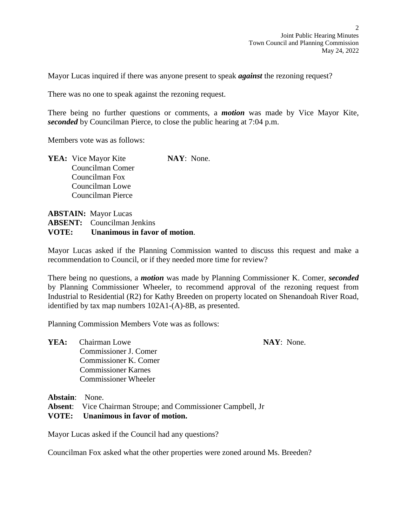Mayor Lucas inquired if there was anyone present to speak *against* the rezoning request?

There was no one to speak against the rezoning request.

There being no further questions or comments, a *motion* was made by Vice Mayor Kite, *seconded* by Councilman Pierce, to close the public hearing at 7:04 p.m.

Members vote was as follows:

**YEA:** Vice Mayor Kite **NAY**: None. Councilman Comer Councilman Fox Councilman Lowe Councilman Pierce

**ABSTAIN:** Mayor Lucas **ABSENT:** Councilman Jenkins **VOTE: Unanimous in favor of motion**.

Mayor Lucas asked if the Planning Commission wanted to discuss this request and make a recommendation to Council, or if they needed more time for review?

There being no questions, a *motion* was made by Planning Commissioner K. Comer, *seconded*  by Planning Commissioner Wheeler, to recommend approval of the rezoning request from Industrial to Residential (R2) for Kathy Breeden on property located on Shenandoah River Road, identified by tax map numbers 102A1-(A)-8B, as presented.

Planning Commission Members Vote was as follows:

**YEA:** Chairman Lowe **NAY**: None. Commissioner J. Comer Commissioner K. Comer Commissioner Karnes Commissioner Wheeler

**Abstain**: None.

**Absent**: Vice Chairman Stroupe; and Commissioner Campbell, Jr

## **VOTE: Unanimous in favor of motion.**

Mayor Lucas asked if the Council had any questions?

Councilman Fox asked what the other properties were zoned around Ms. Breeden?